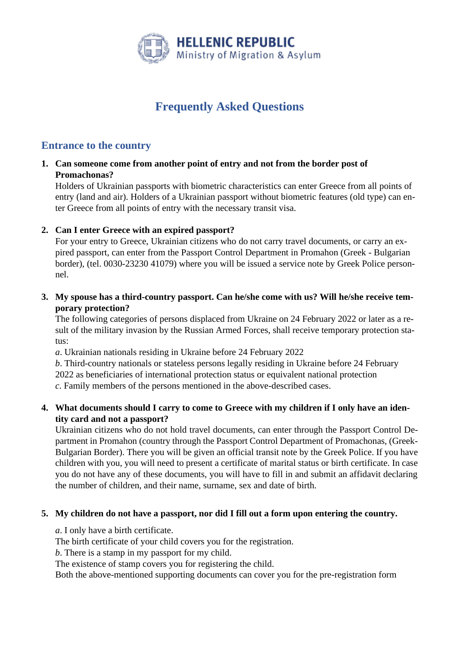

# **Frequently Asked Questions**

## **Entrance to the country**

**1. Can someone come from another point of entry and not from the border post of Promachonas?**

Holders of Ukrainian passports with biometric characteristics can enter Greece from all points of entry (land and air). Holders of a Ukrainian passport without biometric features (old type) can enter Greece from all points of entry with the necessary transit visa.

### **2. Can I enter Greece with an expired passport?**

For your entry to Greece, Ukrainian citizens who do not carry travel documents, or carry an expired passport, can enter from the Passport Control Department in Promahon (Greek - Bulgarian border), (tel. 0030-23230 41079) where you will be issued a service note by Greek Police personnel.

**3. My spouse has a third-country passport. Can he/she come with us? Will he/she receive temporary protection?**

The following categories of persons displaced from Ukraine on 24 February 2022 or later as a result of the military invasion by the Russian Armed Forces, shall receive temporary protection status:

*a*. Ukrainian nationals residing in Ukraine before 24 February 2022

*b*. Third-country nationals or stateless persons legally residing in Ukraine before 24 February 2022 as beneficiaries of international protection status or equivalent national protection *c*. Family members of the persons mentioned in the above-described cases.

### **4. What documents should I carry to come to Greece with my children if I only have an identity card and not a passport?**

Ukrainian citizens who do not hold travel documents, can enter through the Passport Control Department in Promahon (country through the Passport Control Department of Promachonas, (Greek-Bulgarian Border). There you will be given an official transit note by the Greek Police. If you have children with you, you will need to present a certificate of marital status or birth certificate. In case you do not have any of these documents, you will have to fill in and submit an affidavit declaring the number of children, and their name, surname, sex and date of birth.

### **5. My children do not have a passport, nor did I fill out a form upon entering the country.**

*a*. I only have a birth certificate.

The birth certificate of your child covers you for the registration.

*b*. There is a stamp in my passport for my child.

The existence of stamp covers you for registering the child.

Both the above-mentioned supporting documents can cover you for the pre-registration form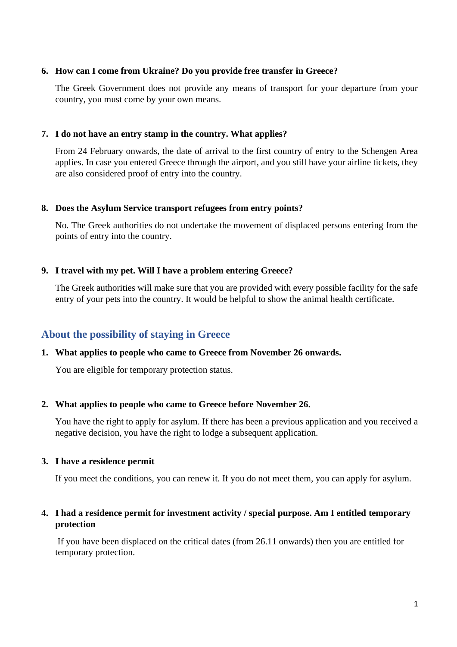#### **6. How can I come from Ukraine? Do you provide free transfer in Greece?**

The Greek Government does not provide any means of transport for your departure from your country, you must come by your own means.

#### **7. I do not have an entry stamp in the country. What applies?**

From 24 February onwards, the date of arrival to the first country of entry to the Schengen Area applies. In case you entered Greece through the airport, and you still have your airline tickets, they are also considered proof of entry into the country.

#### **8. Does the Asylum Service transport refugees from entry points?**

No. The Greek authorities do not undertake the movement of displaced persons entering from the points of entry into the country.

#### **9. I travel with my pet. Will I have a problem entering Greece?**

The Greek authorities will make sure that you are provided with every possible facility for the safe entry of your pets into the country. It would be helpful to show the animal health certificate.

### **About the possibility of staying in Greece**

#### **1. What applies to people who came to Greece from November 26 onwards.**

You are eligible for temporary protection status.

#### **2. What applies to people who came to Greece before November 26.**

You have the right to apply for asylum. If there has been a previous application and you received a negative decision, you have the right to lodge a subsequent application.

#### **3. I have a residence permit**

If you meet the conditions, you can renew it. If you do not meet them, you can apply for asylum.

### **4. I had a residence permit for investment activity / special purpose. Am I entitled temporary protection**

If you have been displaced on the critical dates (from 26.11 onwards) then you are entitled for temporary protection.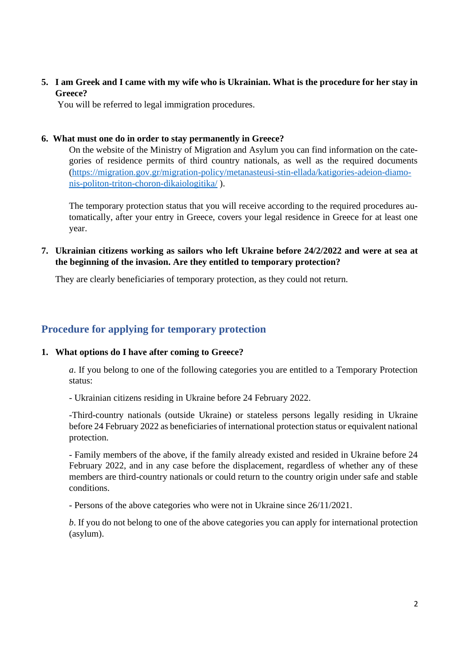**5. I am Greek and I came with my wife who is Ukrainian. What is the procedure for her stay in Greece?**

You will be referred to legal immigration procedures.

### **6. What must one do in order to stay permanently in Greece?**

On the website of the Ministry of Migration and Asylum you can find information on the categories of residence permits of third country nationals, as well as the required documents [\(https://migration.gov.gr/migration-policy/metanasteusi-stin-ellada/katigories-adeion-diamo](https://migration.gov.gr/migration-policy/metanasteusi-stin-ellada/katigories-adeion-diamonis-politon-triton-choron-dikaiologitika/)[nis-politon-triton-choron-dikaiologitika/](https://migration.gov.gr/migration-policy/metanasteusi-stin-ellada/katigories-adeion-diamonis-politon-triton-choron-dikaiologitika/) ).

The temporary protection status that you will receive according to the required procedures automatically, after your entry in Greece, covers your legal residence in Greece for at least one year.

**7. Ukrainian citizens working as sailors who left Ukraine before 24/2/2022 and were at sea at the beginning of the invasion. Are they entitled to temporary protection?**

They are clearly beneficiaries of temporary protection, as they could not return.

## **Procedure for applying for temporary protection**

#### **1. What options do I have after coming to Greece?**

*a*. If you belong to one of the following categories you are entitled to a Temporary Protection status:

- Ukrainian citizens residing in Ukraine before 24 February 2022.

-Third-country nationals (outside Ukraine) or stateless persons legally residing in Ukraine before 24 February 2022 as beneficiaries of international protection status or equivalent national protection.

- Family members of the above, if the family already existed and resided in Ukraine before 24 February 2022, and in any case before the displacement, regardless of whether any of these members are third-country nationals or could return to the country origin under safe and stable conditions.

- Persons of the above categories who were not in Ukraine since 26/11/2021.

*b*. If you do not belong to one of the above categories you can apply for international protection (asylum).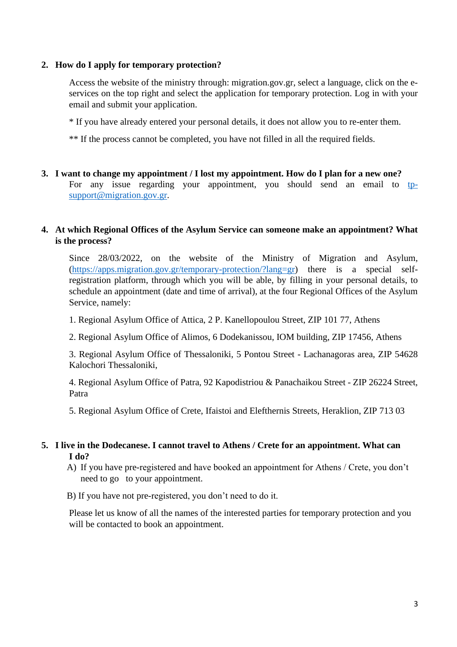### **2. How do I apply for temporary protection?**

Access the website of the ministry through: migration.gov.gr, select a language, click on the eservices on the top right and select the application for temporary protection. Log in with your email and submit your application.

\* If you have already entered your personal details, it does not allow you to re-enter them.

\*\* If the process cannot be completed, you have not filled in all the required fields.

### **3. I want to change my appointment / I lost my appointment. How do I plan for a new one?** For any issue regarding your appointment, you should send an email to [tp](mailto:tp-support@migration.gov.gr)[support@migration.gov.gr.](mailto:tp-support@migration.gov.gr)

### **4. At which Regional Offices of the Asylum Service can someone make an appointment? What is the process?**

Since 28/03/2022, on the website of the Ministry of Migration and Asylum, [\(https://apps.migration.gov.gr/temporary-protection/?lang=gr\)](https://apps.migration.gov.gr/temporary-protection/?lang=gr) there is a special selfregistration platform, through which you will be able, by filling in your personal details, to schedule an appointment (date and time of arrival), at the four Regional Offices of the Asylum Service, namely:

1. Regional Asylum Office of Attica, 2 P. Kanellopoulou Street, ZIP 101 77, Athens

2. Regional Asylum Office of Alimos, 6 Dodekanissou, IOM building, ZIP 17456, Athens

3. Regional Asylum Office of Thessaloniki, 5 Pontou Street - Lachanagoras area, ZIP 54628 Kalochori Thessaloniki,

4. Regional Asylum Office of Patra, 92 Kapodistriou & Panachaikou Street - ZIP 26224 Street, Patra

5. Regional Asylum Office of Crete, Ifaistoi and Elefthernis Streets, Heraklion, ZIP 713 03

### **5. I live in the Dodecanese. I cannot travel to Athens / Crete for an appointment. What can I do?**

A) If you have pre-registered and have booked an appointment for Athens / Crete, you don't need to go to your appointment.

B) If you have not pre-registered, you don't need to do it.

Please let us know of all the names of the interested parties for temporary protection and you will be contacted to book an appointment.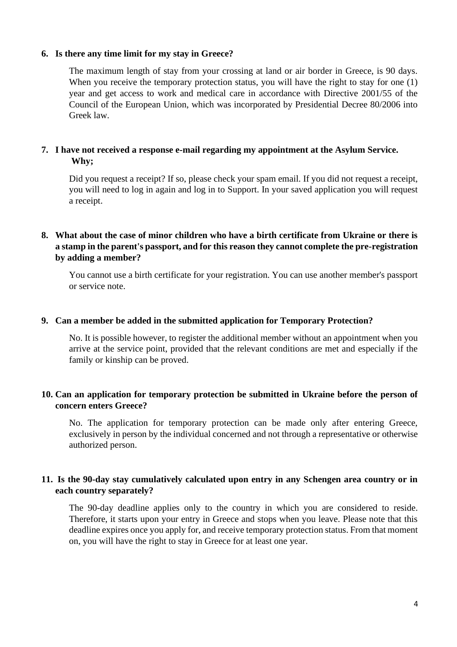#### **6. Is there any time limit for my stay in Greece?**

The maximum length of stay from your crossing at land or air border in Greece, is 90 days. When you receive the temporary protection status, you will have the right to stay for one (1) year and get access to work and medical care in accordance with Directive 2001/55 of the Council of the European Union, which was incorporated by Presidential Decree 80/2006 into Greek law.

### **7. I have not received a response e-mail regarding my appointment at the Asylum Service. Why;**

Did you request a receipt? If so, please check your spam email. If you did not request a receipt, you will need to log in again and log in to Support. In your saved application you will request a receipt.

### **8. What about the case of minor children who have a birth certificate from Ukraine or there is a stamp in the parent's passport, and for this reason they cannot complete the pre-registration by adding a member?**

You cannot use a birth certificate for your registration. You can use another member's passport or service note.

#### **9. Can a member be added in the submitted application for Temporary Protection?**

No. It is possible however, to register the additional member without an appointment when you arrive at the service point, provided that the relevant conditions are met and especially if the family or kinship can be proved.

### **10. Can an application for temporary protection be submitted in Ukraine before the person of concern enters Greece?**

No. The application for temporary protection can be made only after entering Greece, exclusively in person by the individual concerned and not through a representative or otherwise authorized person.

### **11. Is the 90-day stay cumulatively calculated upon entry in any Schengen area country or in each country separately?**

The 90-day deadline applies only to the country in which you are considered to reside. Therefore, it starts upon your entry in Greece and stops when you leave. Please note that this deadline expires once you apply for, and receive temporary protection status. From that moment on, you will have the right to stay in Greece for at least one year.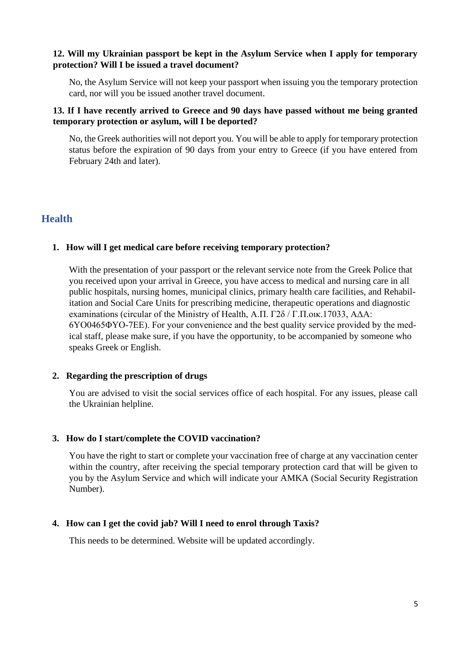### **12. Will my Ukrainian passport be kept in the Asylum Service when I apply for temporary protection? Will I be issued a travel document?**

No, the Asylum Service will not keep your passport when issuing you the temporary protection card, nor will you be issued another travel document.

### **13. If I have recently arrived to Greece and 90 days have passed without me being granted temporary protection or asylum, will I be deported?**

No, the Greek authorities will not deport you. You will be able to apply for temporary protection status before the expiration of 90 days from your entry to Greece (if you have entered from February 24th and later).

## **Health**

#### **1. How will I get medical care before receiving temporary protection?**

With the presentation of your passport or the relevant service note from the Greek Police that you received upon your arrival in Greece, you have access to medical and nursing care in all public hospitals, nursing homes, municipal clinics, primary health care facilities, and Rehabilitation and Social Care Units for prescribing medicine, therapeutic operations and diagnostic examinations (circular of the Ministry of Health, Α.Π. Γ2δ / Γ.Π.οικ.17033, ΑΔΑ: 6ΥΟ0465ΦΥΟ-7ΕΕ). For your convenience and the best quality service provided by the medical staff, please make sure, if you have the opportunity, to be accompanied by someone who speaks Greek or English.

#### **2. Regarding the prescription of drugs**

You are advised to visit the social services office of each hospital. For any issues, please call the Ukrainian helpline.

#### **3. How do I start/complete the COVID vaccination?**

You have the right to start or complete your vaccination free of charge at any vaccination center within the country, after receiving the special temporary protection card that will be given to you by the Asylum Service and which will indicate your AMKA (Social Security Registration Number).

#### **4. How can I get the covid jab? Will I need to enrol through Taxis?**

This needs to be determined. Website will be updated accordingly.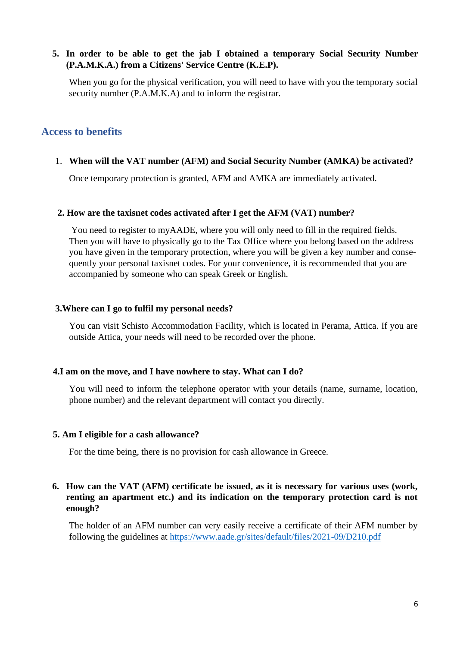### **5. In order to be able to get the jab I obtained a temporary Social Security Number (P.A.M.K.A.) from a Citizens' Service Centre (K.E.P).**

When you go for the physical verification, you will need to have with you the temporary social security number (P.A.M.K.A) and to inform the registrar.

### **Access to benefits**

1. **When will the VAT number (AFM) and Social Security Number (AMKA) be activated?**

Once temporary protection is granted, AFM and AMKA are immediately activated.

#### **2. How are the taxisnet codes activated after I get the AFM (VAT) number?**

You need to register to myAADE, where you will only need to fill in the required fields. Then you will have to physically go to the Tax Office where you belong based on the address you have given in the temporary protection, where you will be given a key number and consequently your personal taxisnet codes. For your convenience, it is recommended that you are accompanied by someone who can speak Greek or English.

#### **3.Where can I go to fulfil my personal needs?**

You can visit Schisto Accommodation Facility, which is located in Perama, Attica. If you are outside Attica, your needs will need to be recorded over the phone.

#### **4.I am on the move, and I have nowhere to stay. What can I do?**

You will need to inform the telephone operator with your details (name, surname, location, phone number) and the relevant department will contact you directly.

#### **5. Am I eligible for a cash allowance?**

For the time being, there is no provision for cash allowance in Greece.

### **6. How can the VAT (AFM) certificate be issued, as it is necessary for various uses (work, renting an apartment etc.) and its indication on the temporary protection card is not enough?**

The holder of an AFM number can very easily receive a certificate of their AFM number by following the guidelines at<https://www.aade.gr/sites/default/files/2021-09/D210.pdf>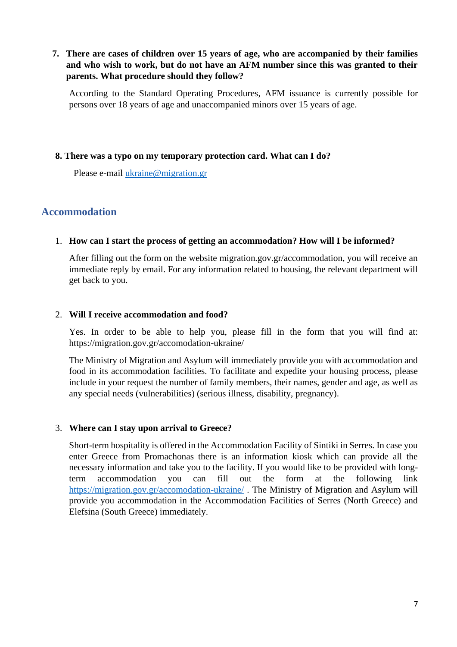### **7. There are cases of children over 15 years of age, who are accompanied by their families and who wish to work, but do not have an AFM number since this was granted to their parents. What procedure should they follow?**

According to the Standard Operating Procedures, AFM issuance is currently possible for persons over 18 years of age and unaccompanied minors over 15 years of age.

### **8. There was a typo on my temporary protection card. What can I do?**

Please e-mail [ukraine@migration.gr](mailto:ukraine@migration.gr)

## **Accommodation**

#### 1. **How can I start the process of getting an accommodation? How will I be informed?**

After filling out the form on the website migration.gov.gr/accommodation, you will receive an immediate reply by email. For any information related to housing, the relevant department will get back to you.

#### 2. **Will I receive accommodation and food?**

Yes. In order to be able to help you, please fill in the form that you will find at: https://migration.gov.gr/accomodation-ukraine/

The Ministry of Migration and Asylum will immediately provide you with accommodation and food in its accommodation facilities. To facilitate and expedite your housing process, please include in your request the number of family members, their names, gender and age, as well as any special needs (vulnerabilities) (serious illness, disability, pregnancy).

#### 3. **Where can I stay upon arrival to Greece?**

Short-term hospitality is offered in the Accommodation Facility of Sintiki in Serres. In case you enter Greece from Promachonas there is an information kiosk which can provide all the necessary information and take you to the facility. If you would like to be provided with longterm accommodation you can fill out the form at the following link <https://migration.gov.gr/accomodation-ukraine/> . The Ministry of Migration and Asylum will provide you accommodation in the Accommodation Facilities of Serres (North Greece) and Elefsina (South Greece) immediately.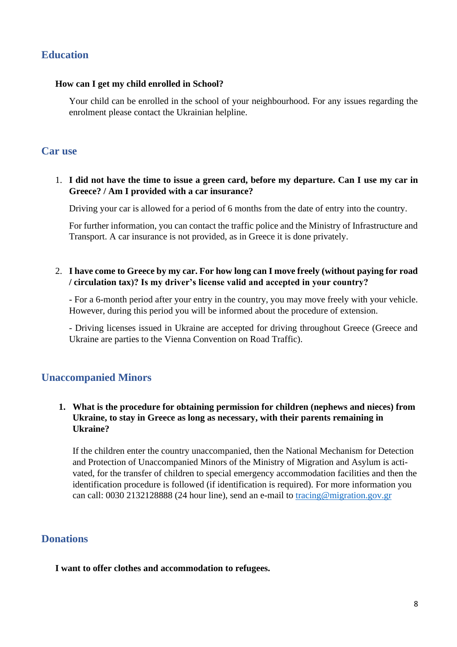## **Education**

#### **How can I get my child enrolled in School?**

Your child can be enrolled in the school of your neighbourhood. For any issues regarding the enrolment please contact the Ukrainian helpline.

## **Car use**

### 1. **I did not have the time to issue a green card, before my departure. Can I use my car in Greece? / Am I provided with a car insurance?**

Driving your car is allowed for a period of 6 months from the date of entry into the country.

For further information, you can contact the traffic police and the Ministry of Infrastructure and Transport. A car insurance is not provided, as in Greece it is done privately.

### 2. **I have come to Greece by my car. For how long can I move freely (without paying for road / circulation tax)? Is my driver's license valid and accepted in your country?**

- For a 6-month period after your entry in the country, you may move freely with your vehicle. However, during this period you will be informed about the procedure of extension.

- Driving licenses issued in Ukraine are accepted for driving throughout Greece (Greece and Ukraine are parties to the Vienna Convention on Road Traffic).

## **Unaccompanied Minors**

### **1. What is the procedure for obtaining permission for children (nephews and nieces) from Ukraine, to stay in Greece as long as necessary, with their parents remaining in Ukraine?**

If the children enter the country unaccompanied, then the National Mechanism for Detection and Protection of Unaccompanied Minors of the Ministry of Migration and Asylum is activated, for the transfer of children to special emergency accommodation facilities and then the identification procedure is followed (if identification is required). For more information you can call: 0030 2132128888 (24 hour line), send an e-mail to [tracing@migration.gov.gr](mailto:tracing@migration.gov.gr)

## **Donations**

### **I want to offer clothes and accommodation to refugees.**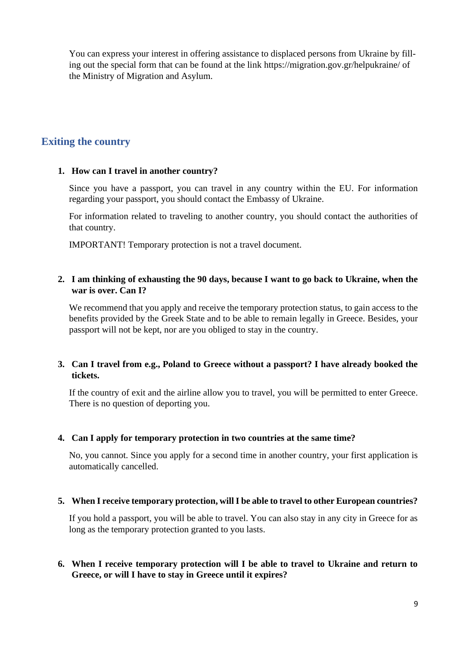You can express your interest in offering assistance to displaced persons from Ukraine by filling out the special form that can be found at the link https://migration.gov.gr/helpukraine/ of the Ministry of Migration and Asylum.

## **Exiting the country**

### **1. How can I travel in another country?**

Since you have a passport, you can travel in any country within the EU. For information regarding your passport, you should contact the Embassy of Ukraine.

For information related to traveling to another country, you should contact the authorities of that country.

IMPORTANT! Temporary protection is not a travel document.

### **2. I am thinking of exhausting the 90 days, because I want to go back to Ukraine, when the war is over. Can I?**

We recommend that you apply and receive the temporary protection status, to gain access to the benefits provided by the Greek State and to be able to remain legally in Greece. Besides, your passport will not be kept, nor are you obliged to stay in the country.

### **3. Can I travel from e.g., Poland to Greece without a passport? I have already booked the tickets.**

If the country of exit and the airline allow you to travel, you will be permitted to enter Greece. There is no question of deporting you.

#### **4. Can I apply for temporary protection in two countries at the same time?**

No, you cannot. Since you apply for a second time in another country, your first application is automatically cancelled.

#### **5. When I receive temporary protection, will I be able to travel to other European countries?**

If you hold a passport, you will be able to travel. You can also stay in any city in Greece for as long as the temporary protection granted to you lasts.

### **6. When I receive temporary protection will I be able to travel to Ukraine and return to Greece, or will I have to stay in Greece until it expires?**